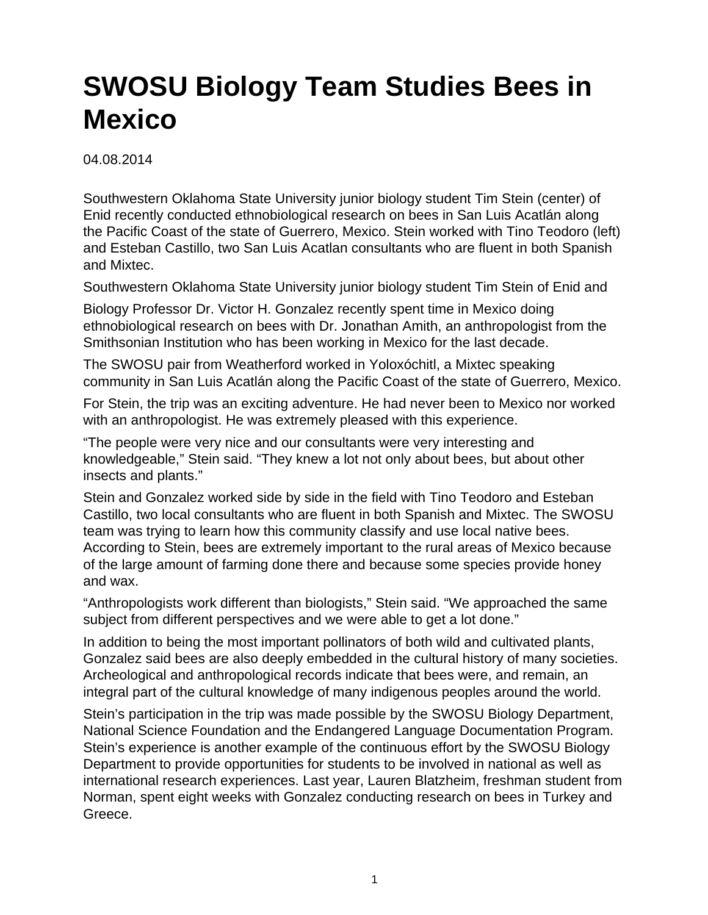## **SWOSU Biology Team Studies Bees in Mexico**

04.08.2014

Southwestern Oklahoma State University junior biology student Tim Stein (center) of Enid recently conducted ethnobiological research on bees in San Luis Acatlán along the Pacific Coast of the state of Guerrero, Mexico. Stein worked with Tino Teodoro (left) and Esteban Castillo, two San Luis Acatlan consultants who are fluent in both Spanish and Mixtec.

Southwestern Oklahoma State University junior biology student Tim Stein of Enid and

Biology Professor Dr. Victor H. Gonzalez recently spent time in Mexico doing ethnobiological research on bees with Dr. Jonathan Amith, an anthropologist from the Smithsonian Institution who has been working in Mexico for the last decade.

The SWOSU pair from Weatherford worked in Yoloxóchitl, a Mixtec speaking community in San Luis Acatlán along the Pacific Coast of the state of Guerrero, Mexico.

For Stein, the trip was an exciting adventure. He had never been to Mexico nor worked with an anthropologist. He was extremely pleased with this experience.

"The people were very nice and our consultants were very interesting and knowledgeable," Stein said. "They knew a lot not only about bees, but about other insects and plants."

Stein and Gonzalez worked side by side in the field with Tino Teodoro and Esteban Castillo, two local consultants who are fluent in both Spanish and Mixtec. The SWOSU team was trying to learn how this community classify and use local native bees. According to Stein, bees are extremely important to the rural areas of Mexico because of the large amount of farming done there and because some species provide honey and wax.

"Anthropologists work different than biologists," Stein said. "We approached the same subject from different perspectives and we were able to get a lot done."

In addition to being the most important pollinators of both wild and cultivated plants, Gonzalez said bees are also deeply embedded in the cultural history of many societies. Archeological and anthropological records indicate that bees were, and remain, an integral part of the cultural knowledge of many indigenous peoples around the world.

Stein's participation in the trip was made possible by the SWOSU Biology Department, National Science Foundation and the Endangered Language Documentation Program. Stein's experience is another example of the continuous effort by the SWOSU Biology Department to provide opportunities for students to be involved in national as well as international research experiences. Last year, Lauren Blatzheim, freshman student from Norman, spent eight weeks with Gonzalez conducting research on bees in Turkey and Greece.